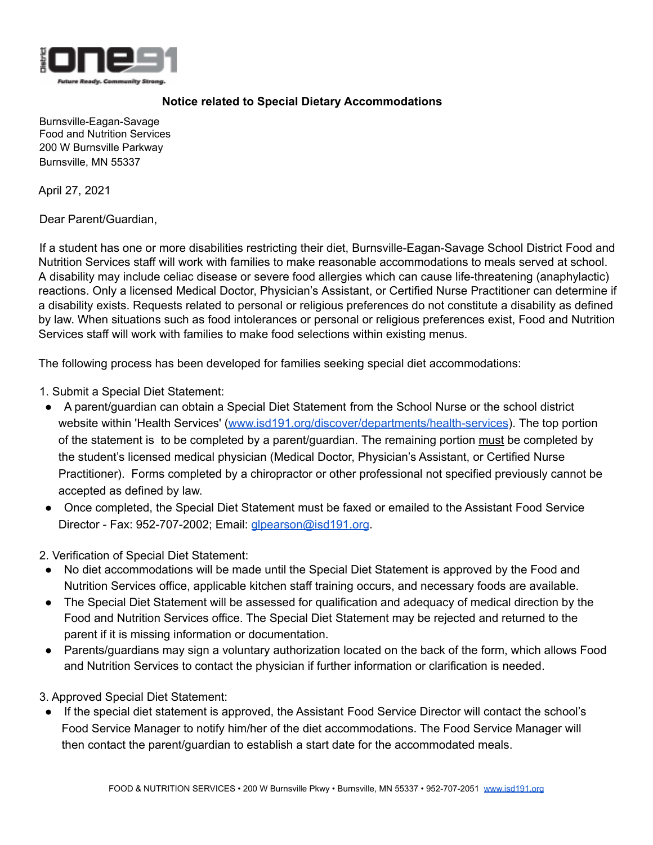

# **Notice related to Special Dietary Accommodations**

Burnsville-Eagan-Savage Food and Nutrition Services 200 W Burnsville Parkway Burnsville, MN 55337

April 27, 2021

Dear Parent/Guardian,

If a student has one or more disabilities restricting their diet, Burnsville-Eagan-Savage School District Food and Nutrition Services staff will work with families to make reasonable accommodations to meals served at school. A disability may include celiac disease or severe food allergies which can cause life-threatening (anaphylactic) reactions. Only a licensed Medical Doctor, Physician's Assistant, or Certified Nurse Practitioner can determine if a disability exists. Requests related to personal or religious preferences do not constitute a disability as defined by law. When situations such as food intolerances or personal or religious preferences exist, Food and Nutrition Services staff will work with families to make food selections within existing menus.

The following process has been developed for families seeking special diet accommodations:

1. Submit a Special Diet Statement:

- A parent/guardian can obtain a Special Diet Statement from the School Nurse or the school district website within 'Health Services' [\(www.isd191.org/discover/departments/health-services\)](https://www.isd191.org/discover/departments/health-services). The top portion of the statement is to be completed by a parent/guardian. The remaining portion must be completed by the student's licensed medical physician (Medical Doctor, Physician's Assistant, or Certified Nurse Practitioner). Forms completed by a chiropractor or other professional not specified previously cannot be accepted as defined by law.
- Once completed, the Special Diet Statement must be faxed or emailed to the Assistant Food Service Director - Fax: 952-707-2002; Email: [glpearson@isd191.org](mailto:glpearson@isd191.org).

2. Verification of Special Diet Statement:

- No diet accommodations will be made until the Special Diet Statement is approved by the Food and Nutrition Services office, applicable kitchen staff training occurs, and necessary foods are available.
- The Special Diet Statement will be assessed for qualification and adequacy of medical direction by the Food and Nutrition Services office. The Special Diet Statement may be rejected and returned to the parent if it is missing information or documentation.
- Parents/guardians may sign a voluntary authorization located on the back of the form, which allows Food and Nutrition Services to contact the physician if further information or clarification is needed.

3. Approved Special Diet Statement:

● If the special diet statement is approved, the Assistant Food Service Director will contact the school's Food Service Manager to notify him/her of the diet accommodations. The Food Service Manager will then contact the parent/guardian to establish a start date for the accommodated meals.